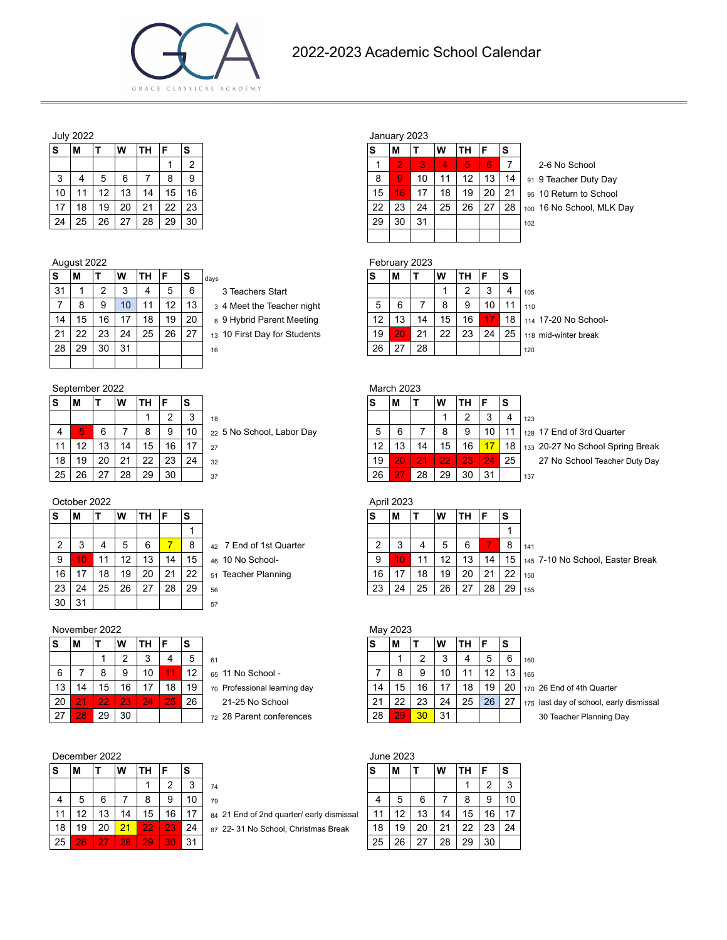

July 2022

| ١s | ΙM |    | W  | TΗ | F  | s      |
|----|----|----|----|----|----|--------|
|    |    |    |    |    |    | $\sim$ |
| 3  |    | 5  | 6  |    |    | 9      |
| 10 |    | 12 | 13 | 14 | 15 | 16     |
| 17 | 18 | 19 | 20 | 21 | 22 | 23     |
| 24 | 25 | 26 | 27 | 28 | 29 | 30     |

| ۱S | ΙM |    | W  | ΤН |    | s  | days                         | S  | M  |    | W  |    |    | S              |
|----|----|----|----|----|----|----|------------------------------|----|----|----|----|----|----|----------------|
| 31 |    | າ  | 3  | 4  | 5  | 6  | 3 Teachers Start             |    |    |    |    | າ  | ◠  | $\overline{4}$ |
|    | 8  | 9  | 10 | 11 | 12 | 13 | 3 4 Meet the Teacher night   | 5  | 6  |    | 8  | 9  | 10 | 11             |
| 14 | 15 | 16 | 17 | 18 | 19 | 20 | 8 9 Hybrid Parent Meeting    | 12 | 13 | 14 | 15 | 16 |    | 18             |
| 21 | 22 | 23 | 24 | 25 | 26 | 27 | 13 10 First Day for Students | 19 | 20 | 21 | 22 | 23 | 24 | 25             |
| 28 | 29 | 30 | 31 |    |    |    | 16                           | 26 | 27 | 28 |    |    |    |                |
|    |    |    |    |    |    |    |                              |    |    |    |    |    |    |                |

- 3 4 Meet the Teacher night
- 
- 

|    | July 2022 |    |    |    |                 |    |  |  |
|----|-----------|----|----|----|-----------------|----|--|--|
|    | ΙM        |    | w  | TΗ |                 | ۱S |  |  |
|    |           |    |    |    |                 | າ  |  |  |
| 3  | 4         | 5  | 6  |    | 8               | 9  |  |  |
| 10 | 11        | 12 | 13 | 14 | 15 <sub>1</sub> | 16 |  |  |
| 17 | 18        | 19 | 20 | 21 | 22              | 23 |  |  |
| 24 | 25        | 26 | 27 | 28 | 29              | 30 |  |  |
|    |           |    |    |    |                 |    |  |  |

2-6 No School 9 Teacher Duty Day 10 Return to School 16 No School, MLK Day

# August 2022 **February 2023**

|      | M  |    | ١W | ΤН | ΙF              | s  | davs                         | s  | M  |    | W  | ΤН |    | S               |                                   |
|------|----|----|----|----|-----------------|----|------------------------------|----|----|----|----|----|----|-----------------|-----------------------------------|
| 31   |    |    |    |    |                 | 6  | 3 Teachers Start             |    |    |    |    |    |    |                 | 105                               |
| 7    | 8  | 9  | 10 | 11 | 12 <sup>1</sup> | 13 | 3 4 Meet the Teacher night   | 5  | 6  |    |    | 9  | 10 |                 | 110                               |
| 14   | 15 | 16 |    | 18 | 19              | 20 | 8 9 Hybrid Parent Meeting    | 12 | 13 | 14 | 15 | 16 |    | 18 <sup>1</sup> | 1 <sub>114</sub> 17-20 No School- |
| 21   | 22 | 23 | 24 | 25 | $26 \mid 27$    |    | 13 10 First Day for Students | 19 | 20 | 21 | 22 | 23 | 24 | 25              | 118 mid-winter break              |
| 28 I | 29 | 30 | 31 |    |                 |    | 16                           | 26 | 27 | 28 |    |    |    |                 | 120                               |
|      |    |    |    |    |                 |    |                              |    |    |    |    |    |    |                 |                                   |

| September 2022 |    |    |    |    |    |                           |    |     |    |                   |            |                 |    |                                  |  |  |
|----------------|----|----|----|----|----|---------------------------|----|-----|----|-------------------|------------|-----------------|----|----------------------------------|--|--|
|                |    | W  | ΤН | IE | ۱S |                           | S  | l M |    |                   | TН         |                 | s  |                                  |  |  |
|                |    |    |    |    |    | 18                        |    |     |    |                   |            |                 | 4  | 123                              |  |  |
| 5              | 6  |    |    | -9 | 10 | 22 5 No School, Labor Day | 5  |     |    | 8                 | 9          | 10              | 11 | $1_{128}$ 17 End of 3rd Quarter  |  |  |
| 12             | 13 | 14 | 15 | 16 |    | 27                        | 12 | 13  | 14 | 15                | 16         | 17 <sub>1</sub> | 18 | 133 20-27 No School Spring Break |  |  |
| 19             | 20 | 21 | 22 | 23 | 24 | 32                        | 19 |     | 21 | 22                | <b>23'</b> |                 | 25 | 27 No School Teacher Duty Day    |  |  |
| 26             | 27 | 28 | 29 | 30 |    | 37                        | 26 |     | 28 | 29                | 30         | 31              |    | 137                              |  |  |
|                | 1M |    |    |    |    |                           |    |     |    | <b>March 2023</b> | ۱w         |                 |    | 24 <sup>°</sup>                  |  |  |

| October 2022 | <b>April 2023</b> |
|--------------|-------------------|
|              |                   |

September 2022

| ١s | ΙM |    | W  | ΤН |    | s  |                         | s  | M  |    | W  | ΤН |    | ۱S  |
|----|----|----|----|----|----|----|-------------------------|----|----|----|----|----|----|-----|
|    |    |    |    |    |    |    |                         |    |    |    |    |    |    | 1   |
| 2  | 3  | 4  | 5  | 6  |    | 8  | 42 7 End of 1st Quarter | ົ  | 3  | 4  | 5  | 6  |    | - 8 |
| 9  | 10 | 11 | 12 | 13 | 14 | 15 | 46 10 No School-        | 9  | 10 | 11 | 12 | 13 | 14 | 15  |
| 16 |    | 18 | 19 | 20 | 21 | 22 | 51 Teacher Planning     | 16 | 17 | 18 | 19 | 20 | 21 | 22  |
| 23 | 24 | 25 | 26 | 27 | 28 | 29 | 56                      | 23 | 24 | 25 | 26 | 27 | 28 | 29  |
| 30 | 31 |    |    |    |    |    | 57                      |    |    |    |    |    |    |     |

| November 2022 |    |    |    |    |    |    |                              | May 2023 |    |    |    |     |    |    |  |  |
|---------------|----|----|----|----|----|----|------------------------------|----------|----|----|----|-----|----|----|--|--|
| S             | M  |    | w  | ΤН | ΙF | S  |                              | ۱S       | M  |    | W  | 1 M |    | ۱S |  |  |
|               |    |    | າ  |    | 4  | 5  | 61                           |          |    | ົ  | 3  | 4   | 5  | -6 |  |  |
| 6             |    | 8  | 9  | 10 |    | 12 | 65 11 No School -            |          | 8  | 9  | 10 |     | 12 | 13 |  |  |
| 13            | 14 | 15 | 16 | 17 | 18 | 19 | 70 Professional learning day | 14       | 15 | 16 | 17 | 18  | 19 | 20 |  |  |
| 20            |    | 22 | 23 | 24 | 25 | 26 | 21-25 No School              | 21       | 22 | 23 | 24 | 25  | 26 | 27 |  |  |
| 27            | 28 | 29 | 30 |    |    |    | 72 28 Parent conferences     | 28       | 29 | 30 | 31 |     |    |    |  |  |

## December 2022 June 2023

| ۱S | M  |    | w  | ΤН |    | e  |                                           | ۰S | M  |    | W  | ΤН |    |
|----|----|----|----|----|----|----|-------------------------------------------|----|----|----|----|----|----|
|    |    |    |    |    | ົ  | ີ  | 74                                        |    |    |    |    |    | 2  |
|    | 5  | 6  |    | 8  | 9  | 10 | 79                                        |    |    | 6  |    | 8  | 9  |
|    | 12 | 13 | 14 | 15 | 16 | 17 | 84 21 End of 2nd quarter/ early dismissal |    | 12 | 13 | 14 | 15 | 16 |
| 18 | 19 | 20 | 21 | 22 | 23 | 24 | 87 22-31 No School, Christmas Break       | 18 | 19 | 20 | 21 | 22 | 23 |
| 25 | 26 |    | 28 | 29 | 30 | 31 |                                           | 25 | 26 | 27 | 28 | 29 | 30 |

| 7 End of 1st Quarter |  |
|----------------------|--|
| 0 No School-         |  |
| eacher Planning      |  |

|                | JUUDEI ZUZZ |    |    |    |    |    |                         |    | ADIII ZUZJ |    |    |    |      |    |                                            |
|----------------|-------------|----|----|----|----|----|-------------------------|----|------------|----|----|----|------|----|--------------------------------------------|
|                | M           |    | W  | ΤН |    | S  |                         |    | M          |    | ۱w | ΤН |      | lS |                                            |
|                |             |    |    |    |    |    |                         |    |            |    |    |    |      |    |                                            |
| 2 <sub>1</sub> | ◠           |    | 5  |    |    |    | 42 7 End of 1st Quarter |    |            |    | 5  |    |      | 8  | 141                                        |
| 9              | 10          | 11 | 12 | 13 | 14 | 15 | $46$ 10 No School-      | 9  |            |    | 12 | 13 | 14   |    | 15   $_{145}$ 7-10 No School, Easter Break |
| 16 I           |             | 18 | 19 | 20 | 21 | 22 | 51 Teacher Planning     | 16 |            | 18 | 19 | 20 | . 21 | 22 | 150                                        |
| 23 I           | 24          | 25 | 26 | 27 | 28 | 29 | 56                      | 23 | 24         | 25 | 26 | 27 | 28   | 29 | 155                                        |

|    |  | $\sim$ 44 No. $\mathcal{C}_{\mathsf{a}}$ |
|----|--|------------------------------------------|
| 61 |  |                                          |
|    |  |                                          |
|    |  |                                          |
|    |  |                                          |

- 
- 
- 

|    | l VV | 1 M |    |    |                              | ১  | IИ        |    | <b>VV</b> | ıΗ |    | בו |                                         |
|----|------|-----|----|----|------------------------------|----|-----------|----|-----------|----|----|----|-----------------------------------------|
|    |      |     |    |    | 61                           |    |           |    | ົ         |    |    | 6  | 160                                     |
| 8. | 9    | 10  |    | 12 | 65 11 No School -            |    |           |    | 10        |    | 12 |    | 165                                     |
| 5  | 16   | 17  | 18 | 19 | 70 Professional learning day | 14 | 15        | 16 |           | 18 | 19 | 20 | 170 26 End of 4th Quarter               |
|    |      | 24  | 25 | 26 | 21-25 No School              | 21 | 22        | 23 | 24        | 25 | 26 | 27 | 175 last day of school, early dismissal |
| 29 | 30   |     |    |    | 72 28 Parent conferences     | 28 | <b>29</b> | 30 | 31        |    |    |    | 30 Teacher Planning Day                 |

| DUUUIIDUI LULL |    |    |    |    |    |    |                                          | $0.1100 - 1.010$ |    |    |    |    |    |    |  |
|----------------|----|----|----|----|----|----|------------------------------------------|------------------|----|----|----|----|----|----|--|
| S              | M  |    | W  | ΤН |    | s  |                                          | s                | M  |    | W  | ΤН |    | ۱S |  |
|                |    |    |    |    | າ  | 3  | 74                                       |                  |    |    |    | 4  | າ  |    |  |
| 4              | 5  | 6  |    | 8  | 9  | 10 | 79                                       | 4                | 5  | 6  |    | 8  | 9  | 10 |  |
| 11             | 12 | 13 | 14 | 15 | 16 | 17 | 84 21 End of 2nd quarter/early dismissal | 11               | 12 | 13 | 14 | 15 | 16 | 17 |  |
| 18             | 19 | 20 | 21 |    | 23 | 24 | 87 22-31 No School, Christmas Break      | 18               | 19 | 20 | 21 | 22 | 23 | 24 |  |
| 25             | 26 |    | 28 | 29 | 30 | 31 |                                          | 25               | 26 | 27 | 28 | 29 | 30 |    |  |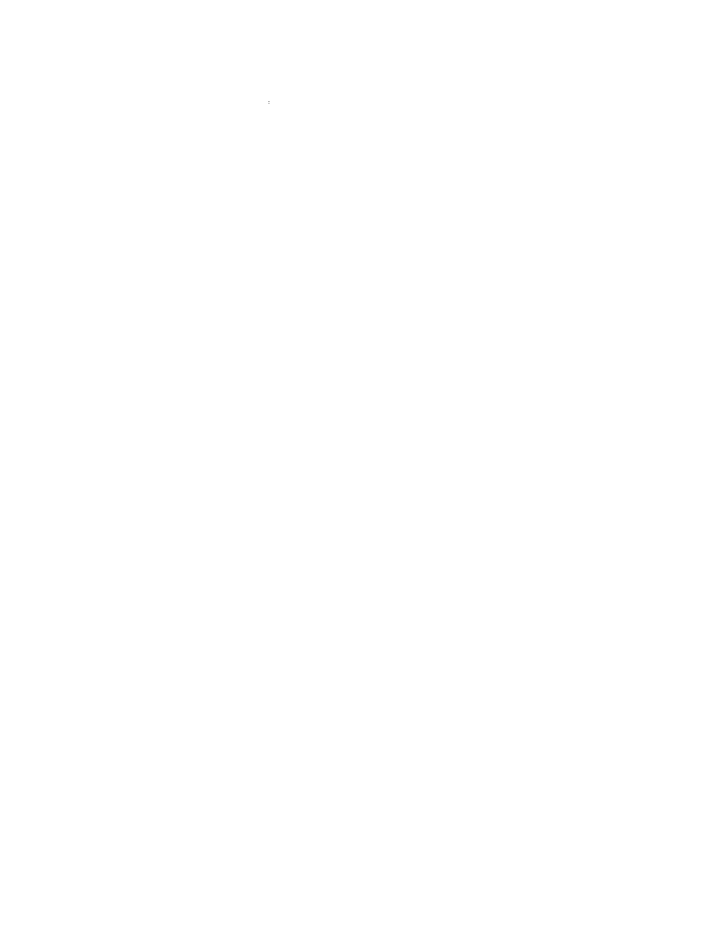$\mathcal{L}_{\text{max}}$  and  $\mathcal{L}_{\text{max}}$  . The  $\mathcal{L}_{\text{max}}$